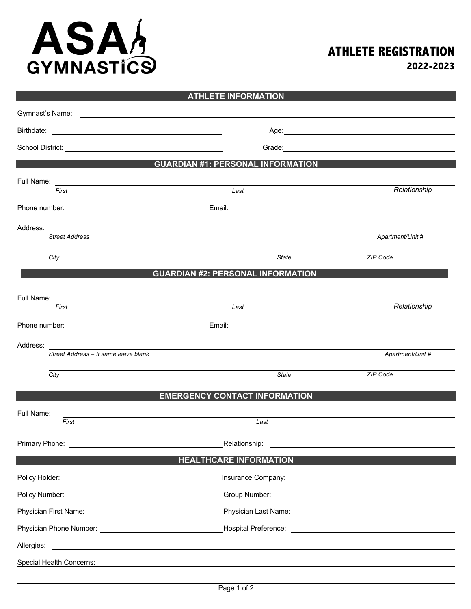## ASAS

## **ATHLETE REGISTRATION**

**2022-2023**

|                                                                                                                                                                                                                                      | <b>ATHLETE INFORMATION</b>                                                                                            |                                                                                                                                                                                                                                      |
|--------------------------------------------------------------------------------------------------------------------------------------------------------------------------------------------------------------------------------------|-----------------------------------------------------------------------------------------------------------------------|--------------------------------------------------------------------------------------------------------------------------------------------------------------------------------------------------------------------------------------|
|                                                                                                                                                                                                                                      |                                                                                                                       |                                                                                                                                                                                                                                      |
|                                                                                                                                                                                                                                      |                                                                                                                       | Age: Note: Age: Note: Note: Note: Note: Note: Note: Note: Note: Note: Note: Note: Note: Note: Note: Note: Note: Note: Note: Note: Note: Note: Note: Note: Note: Note: Note: Note: Note: Note: Note: Note: Note: Note: Note: No       |
|                                                                                                                                                                                                                                      |                                                                                                                       | Grade: <u>contract and contract and contract and contract and contract and contract and contract and contract and contract and contract of the state of the state of the state of the state of the state of the state of the sta</u> |
|                                                                                                                                                                                                                                      | <b>GUARDIAN #1: PERSONAL INFORMATION</b>                                                                              |                                                                                                                                                                                                                                      |
|                                                                                                                                                                                                                                      |                                                                                                                       | Relationship                                                                                                                                                                                                                         |
| First                                                                                                                                                                                                                                | Last                                                                                                                  |                                                                                                                                                                                                                                      |
| Phone number:<br><u> 1980 - Johann Barn, fransk politik (d. 1980)</u>                                                                                                                                                                |                                                                                                                       |                                                                                                                                                                                                                                      |
| Address:<br><b>Street Address</b>                                                                                                                                                                                                    | <u> 1989 - Jan Samuel Barbara, martin da shekara ta 1989 - An tsara tsara tsara tsara tsara tsara tsara tsara tsa</u> | Apartment/Unit #                                                                                                                                                                                                                     |
| City                                                                                                                                                                                                                                 | State                                                                                                                 | ZIP Code                                                                                                                                                                                                                             |
|                                                                                                                                                                                                                                      | <b>GUARDIAN #2: PERSONAL INFORMATION</b>                                                                              |                                                                                                                                                                                                                                      |
|                                                                                                                                                                                                                                      |                                                                                                                       |                                                                                                                                                                                                                                      |
| Full Name:<br><u> 1989 - John Stein, mars and de Britain and de Britain and de Britain and de Britain and de Britain and de Br</u><br>First                                                                                          | Last                                                                                                                  | Relationship                                                                                                                                                                                                                         |
| Phone number: <u>contract and contract and contract and contract and contract and contract of the contract of the contract of the contract of the contract of the contract of the contract of the contract of the contract of th</u> |                                                                                                                       |                                                                                                                                                                                                                                      |
| Address:                                                                                                                                                                                                                             |                                                                                                                       |                                                                                                                                                                                                                                      |
|                                                                                                                                                                                                                                      | Street Address - If same leave blank                                                                                  | Apartment/Unit #                                                                                                                                                                                                                     |
| City                                                                                                                                                                                                                                 | State                                                                                                                 | ZIP Code                                                                                                                                                                                                                             |
|                                                                                                                                                                                                                                      | <b>EMERGENCY CONTACT INFORMATION</b>                                                                                  |                                                                                                                                                                                                                                      |
| Full Name:                                                                                                                                                                                                                           |                                                                                                                       |                                                                                                                                                                                                                                      |
| First                                                                                                                                                                                                                                | Last                                                                                                                  |                                                                                                                                                                                                                                      |
|                                                                                                                                                                                                                                      | Relationship:                                                                                                         |                                                                                                                                                                                                                                      |
|                                                                                                                                                                                                                                      | <b>HEALTHCARE INFORMATION</b>                                                                                         |                                                                                                                                                                                                                                      |
| Policy Holder:                                                                                                                                                                                                                       |                                                                                                                       |                                                                                                                                                                                                                                      |
| Policy Number:                                                                                                                                                                                                                       |                                                                                                                       |                                                                                                                                                                                                                                      |
|                                                                                                                                                                                                                                      |                                                                                                                       |                                                                                                                                                                                                                                      |
|                                                                                                                                                                                                                                      |                                                                                                                       |                                                                                                                                                                                                                                      |
| Allergies:                                                                                                                                                                                                                           | <u> 1989 - Johann Stoff, amerikansk politiker (d. 1989)</u>                                                           |                                                                                                                                                                                                                                      |
| Special Health Concerns:                                                                                                                                                                                                             | ,我们也不会有什么。""我们的人,我们也不会有什么?""我们的人,我们也不会有什么?""我们的人,我们也不会有什么?""我们的人,我们也不会有什么?""我们的人                                      |                                                                                                                                                                                                                                      |